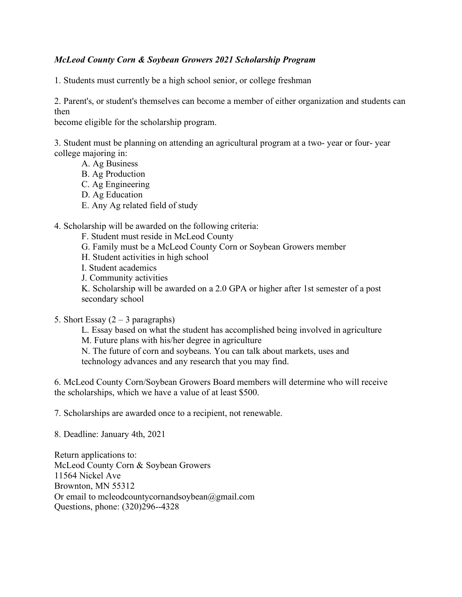## *McLeod County Corn & Soybean Growers 2021 Scholarship Program*

1. Students must currently be a high school senior, or college freshman

2. Parent's, or student's themselves can become a member of either organization and students can then

become eligible for the scholarship program.

3. Student must be planning on attending an agricultural program at a two- year or four- year college majoring in:

- A. Ag Business
- B. Ag Production
- C. Ag Engineering
- D. Ag Education
- E. Any Ag related field of study

4. Scholarship will be awarded on the following criteria:

- F. Student must reside in McLeod County
- G. Family must be a McLeod County Corn or Soybean Growers member
- H. Student activities in high school
- I. Student academics
- J. Community activities

K. Scholarship will be awarded on a 2.0 GPA or higher after 1st semester of a post secondary school

- 5. Short Essay  $(2 3$  paragraphs)
	- L. Essay based on what the student has accomplished being involved in agriculture M. Future plans with his/her degree in agriculture

N. The future of corn and soybeans. You can talk about markets, uses and technology advances and any research that you may find.

6. McLeod County Corn/Soybean Growers Board members will determine who will receive the scholarships, which we have a value of at least \$500.

7. Scholarships are awarded once to a recipient, not renewable.

8. Deadline: January 4th, 2021

Return applications to: McLeod County Corn & Soybean Growers 11564 Nickel Ave Brownton, MN 55312 Or email to mcleodcountycornandsoybean@gmail.com Questions, phone: (320)296--4328